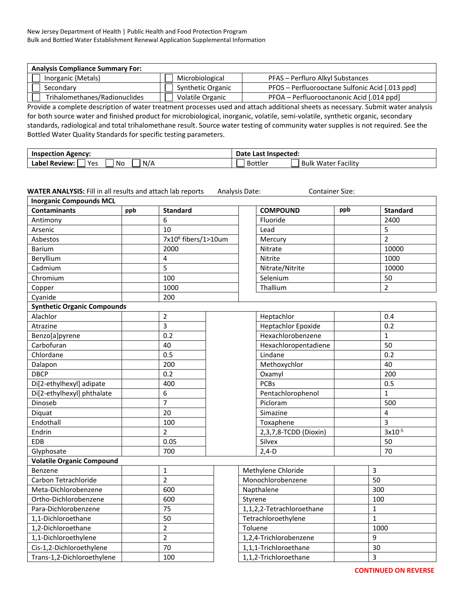| <b>Analysis Compliance Summary For:</b> |                   |                                                 |  |  |  |  |  |  |
|-----------------------------------------|-------------------|-------------------------------------------------|--|--|--|--|--|--|
| Inorganic {Metals}                      | Microbiological   | PFAS – Perfluro Alkyl Substances                |  |  |  |  |  |  |
| Secondary                               | Synthetic Organic | PFOS - Perfluorooctane Sulfonic Acid [.013 ppd] |  |  |  |  |  |  |
| Trihalomethanes/Radionuclides           | Volatile Organic  | PFOA – Perfluorooctanonic Acid [.014 ppd]       |  |  |  |  |  |  |

Provide a complete description of water treatment processes used and attach additional sheets as necessary. Submit water analysis for both source water and finished product for microbiological, inorganic, volatile, semi-volatile, synthetic organic, secondary standards, radiological and total trihalomethane result. Source water testing of community water supplies is not required. See the Bottled Water Quality Standards for specific testing parameters.

| Inspection<br>. Agencv <sup>.</sup> | Date<br>Last<br>:Inspected                       |  |  |  |
|-------------------------------------|--------------------------------------------------|--|--|--|
| Yes<br>No<br>N/A<br>Label Review:   | .<br>Facility<br><b>Bottler</b><br>water<br>Bulk |  |  |  |

| <b>Inorganic Compounds MCL</b>     |     |                                 |                           |         |                           |                |      |                 |
|------------------------------------|-----|---------------------------------|---------------------------|---------|---------------------------|----------------|------|-----------------|
| <b>Contaminants</b>                | ppb | <b>Standard</b>                 |                           |         | <b>COMPOUND</b>           | ppb            |      | <b>Standard</b> |
| Antimony                           |     | 6                               |                           |         | Fluoride                  |                |      | 2400            |
| Arsenic                            |     | 10                              |                           |         | Lead                      |                |      | 5               |
| Asbestos                           |     | 7x10 <sup>6</sup> fibers/1>10um |                           |         | Mercury                   |                |      | $\overline{2}$  |
| <b>Barium</b>                      |     | 2000                            |                           |         | Nitrate                   |                |      | 10000           |
| Beryllium                          |     | $\overline{\mathbf{4}}$         |                           |         | Nitrite                   |                |      | 1000            |
| Cadmium                            |     | 5                               |                           |         | Nitrate/Nitrite           |                |      | 10000           |
| Chromium                           |     | 100                             |                           |         | Selenium                  |                |      | 50              |
| Copper                             |     | 1000                            |                           |         | Thallium                  |                |      | $\overline{2}$  |
| Cyanide                            |     | 200                             |                           |         |                           |                |      |                 |
| <b>Synthetic Organic Compounds</b> |     |                                 |                           |         |                           |                |      |                 |
| Alachlor                           |     | $\overline{2}$                  |                           |         | Heptachlor                |                |      | 0.4             |
| Atrazine                           |     | $\mathsf{3}$                    |                           |         | <b>Heptachlor Epoxide</b> |                |      | 0.2             |
| Benzo[a]pyrene                     |     | 0.2                             |                           |         | Hexachlorobenzene         |                |      | $\mathbf{1}$    |
| Carbofuran                         |     | 40                              |                           |         | Hexachloropentadiene      |                |      | 50              |
| Chlordane                          |     | 0.5                             |                           |         | Lindane                   |                |      | 0.2             |
| Dalapon                            |     | 200                             |                           |         | Methoxychlor              |                |      | 40              |
| <b>DBCP</b>                        |     | 0.2                             |                           |         | Oxamyl                    |                |      | 200             |
| Di[2-ethylhexyl] adipate           |     | 400                             |                           |         | <b>PCBs</b>               |                |      | 0.5             |
| Di[2-ethylhexyl] phthalate         |     | 6                               |                           |         | Pentachlorophenol         |                |      | $\mathbf{1}$    |
| Dinoseb                            |     | $\overline{7}$                  |                           |         | Picloram                  |                |      | 500             |
| Diquat                             |     | 20                              |                           |         | Simazine                  |                |      | 4               |
| Endothall                          |     | 100                             |                           |         | Toxaphene                 |                |      | $\overline{3}$  |
| Endrin                             |     | $\overline{2}$                  |                           |         | 2,3,7,8-TCDD (Dioxin)     |                |      | $3x10^{-5}$     |
| <b>EDB</b>                         |     | 0.05                            |                           |         | Silvex                    |                |      | 50              |
| Glyphosate                         |     | 700                             |                           |         | $2,4-D$                   |                |      | 70              |
| <b>Volatile Organic Compound</b>   |     |                                 |                           |         |                           |                |      |                 |
| Benzene                            |     | $\mathbf{1}$                    | Methylene Chloride        |         |                           | $\overline{3}$ |      |                 |
| Carbon Tetrachloride               |     | $\overline{2}$                  | Monochlorobenzene         |         |                           | 50             |      |                 |
| Meta-Dichlorobenzene               |     | 600                             | Napthalene                |         | 300                       |                |      |                 |
| Ortho-Dichlorobenzene              |     | 600                             | Styrene                   |         | 100                       |                |      |                 |
| Para-Dichlorobenzene               |     | 75                              | 1,1,2,2-Tetrachloroethane |         | 1                         |                |      |                 |
| 1,1-Dichloroethane                 |     | 50                              | Tetrachloroethylene       |         | $\mathbf{1}$              |                |      |                 |
| 1,2-Dichloroethane                 |     | $\overline{2}$                  |                           | Toluene |                           |                | 1000 |                 |
| 1,1-Dichloroethylene               |     | $\overline{2}$                  | 1,2,4-Trichlorobenzene    |         |                           | 9              |      |                 |
| Cis-1,2-Dichloroethylene           |     | 70                              | 1,1,1-Trichloroethane     |         |                           | 30             |      |                 |
| Trans-1,2-Dichloroethylene         |     | 100                             | 1,1,2-Trichloroethane     |         |                           | 3              |      |                 |